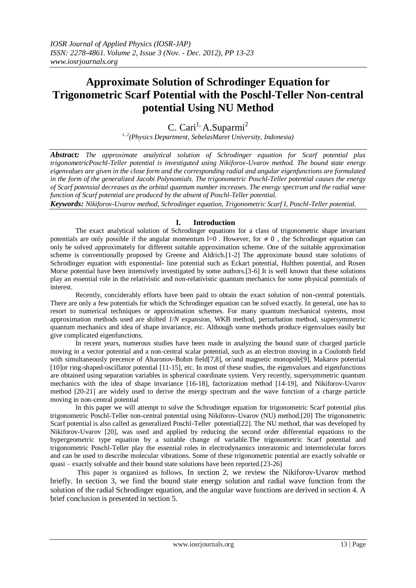# **Approximate Solution of Schrodinger Equation for Trigonometric Scarf Potential with the Poschl-Teller Non-central potential Using NU Method**

C. Cari<sup>1,</sup> A. Suparmi<sup>2</sup>

<sup>1</sup>*, 2(Physics Department, SebelasMaret University, Indonesia)*

*Abstract: The approximate analytical solution of Schrodinger equation for Scarf potential plus trigonometricPoschl-Teller potential is investigated using Nikiforov-Uvarov method. The bound state energy eigenvalues are given in the close form and the corresponding radial and angular eigenfunctions are formulated in the form of the generalized Jacobi Polynomials. The trigonometric Poschl-Teller potential causes the energy of Scarf potensial decreases as the orbital quantum number increases. The energy spectrum and the radial wave function of Scarf potential are produced by the absent of Poschl-Teller potential.* 

*Keywords: Nikiforov-Uvarov method, Schrodinger equation, Trigonometric Scarf I, Poschl-Teller potential.*

# **I. Introduction**

The exact analytical solution of Schrodinger equations for a class of trigonometric shape invariant potentials are only possible if the angular momentum l=0. However, for  $\neq 0$ , the Schrodinger equation can only be solved approximately for different suitable approximation scheme. One of the suitable approximation scheme is conventionally proposed by Greene and Aldrich.[1-2] The approximate bound state solutions of Schrodinger equation with exponential- line potential such as Eckart potential, Hulthen potential, and Rosen Morse potential have been intensively investigated by some authors.[3-6] It is well known that these solutions play an essential role in the relativistic and non-relativistic quantum mechanics for some physical potentials of interest.

Recently, conciderably efforts have been paid to obtain the exact solution of non-central potentials. There are only a few potentials for which the Schrodinger equation can be solved exactly. In general, one has to resort to numerical techniques or approximation schemes. For many quantum mechanical systems, most approximation methods used are shifted *1/N* expansion, WKB method, perturbation method, supersymmetric quantum mechanics and idea of shape invariance, etc. Although some methods produce eigenvalues easily but give complicated eigenfunctions.

In recent years, numerous studies have been made in analyzing the bound state of charged particle moving in a vector potential and a non-central scalar potential, such as an electron moving in a Coulomb field with simultaneously precence of Aharonov-Bohm field[7,8], or/and magnetic monopole[9], Makarov potential [10]or ring-shaped-oscillator potential [11-15], etc. In most of these studies, the eigenvalues and eigenfunctions are obtained using separation variables in spherical coordinate system. Very recently, supersymmetric quantum mechanics with the idea of shape invariance [16-18], factorization method [14-19], and Nikiforov-Uvarov method [20-21] are widely used to derive the energy spectrum and the wave function of a charge particle moving in non-central potential

In this paper we will attempt to solve the Schrodinger equation for trigonometric Scarf potential plus trigonometric Poschl-Teller non-central potential using Nikiforov-Uvarov (NU) method.[20] The trigonometric Scarf potential is also called as generalized Poschl-Teller potential[22]. The NU method, that was developed by Nikiforov-Uvarov [20], was used and applied by reducing the second order differential equations to the hypergeometric type equation by a suitable change of variable.The trigonometric Scarf potential and trigonometric Poschl-Teller play the essential roles in electrodynamics interatomic and intermolecular forces and can be used to describe molecular vibrations. Some of these trigonometric potential are exactly solvable or quasi – exactly solvable and their bound state solutions have been reported.[23-26]

This paper is organized as follows. In section 2, we review the Nikiforov-Uvarov method briefly. In section 3, we find the bound state energy solution and radial wave function from the solution of the radial Schrodinger equation, and the angular wave functions are derived in section 4. A brief conclusion is presented in section 5.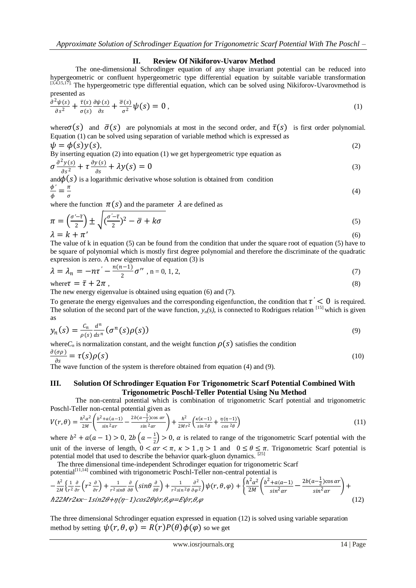# **II. Review Of Nikiforov-Uvarov Method**

The one-dimensional Schrodinger equation of any shape invariant potential can be reduced into hypergeometric or confluent hypergeometric type differential equation by suitable variable transformation [3,4,15,17]. The hypergeometric type differential equation, which can be solved using Nikiforov-Uvarovmethod is presented as

$$
\frac{\partial^2 \psi(s)}{\partial s^2} + \frac{\bar{\tau}(s)}{\sigma(s)} \frac{\partial \psi(s)}{\partial s} + \frac{\bar{\sigma}(s)}{\sigma^2} \psi(s) = 0 \,, \tag{1}
$$

where  $\sigma(s)$  and  $\bar{\sigma}(s)$  are polynomials at most in the second order, and  $\bar{\tau}(s)$  is first order polynomial. Equation (1) can be solved using separation of variable method which is expressed as  $u_1 - \phi(c)u(c)$ 

$$
\psi = \phi(s)y(s),
$$
\nBy inserting equation (2) into equation (1) we get hypergeometric type equation as

$$
\sigma \frac{\partial^2 y(s)}{\partial s^2} + \tau \frac{\partial y(s)}{\partial s} + \lambda y(s) = 0
$$
\n(3)

and  $\phi(s)$  is a logarithmic derivative whose solution is obtained from condition  $\frac{\phi'}{4} = \frac{\pi}{4}$ 

$$
\frac{\ }{\phi }=\frac{\ }{\sigma }
$$

where the function  $\pi(s)$  and the parameter  $\lambda$  are defined as

$$
\pi = \left(\frac{\sigma'-\bar{\tau}}{2}\right) \pm \sqrt{\left(\frac{\sigma'-\bar{\tau}}{2}\right)^2 - \bar{\sigma} + k\sigma}
$$
\n
$$
\lambda = k + \pi'
$$
\n(6)

The value of k in equation (5) can be found from the condition that under the square root of equation (5) have to be square of polynomial which is mostly first degree polynomial and therefore the discriminate of the quadratic expression is zero. A new eigenvalue of equation (3) is

$$
\lambda = \lambda_n = -n\tau' - \frac{n(n-1)}{2}\sigma'' , n = 0, 1, 2,
$$
\n(7)

where  $\tau = \bar{\tau} + 2\pi$ , (8)

The new energy eigenvalue is obtained using equation (6) and (7).

To generate the energy eigenvalues and the corresponding eigenfunction, the condition that  $\tau' < 0$  is required. The solution of the second part of the wave function,  $y_n(s)$ , is connected to Rodrigues relation  $[15]$  which is given as

$$
y_n(s) = \frac{c_n}{\rho(s)} \frac{d^n}{ds^n} (\sigma^n(s)\rho(s))
$$
\n(9)

where  $C_n$  is normalization constant, and the weight function  $\rho(s)$  satisfies the condition

$$
\frac{\partial(\sigma \rho)}{\partial s} = \tau(s)\rho(s) \tag{10}
$$

The wave function of the system is therefore obtained from equation (4) and (9).

## **III. Solution Of Schrodinger Equation For Trigonometric Scarf Potential Combined With Trigonometric Poschl-Teller Potential Using Nu Method**

The non-central potential which is combination of trigonometric Scarf potential and trigonometric Poschl-Teller non-cental potential given as

$$
V(r,\theta) = \frac{\hbar^2 \alpha^2}{2M} \left( \frac{b^2 + a(a-1)}{\sin^2 \alpha r} - \frac{2b(a-\frac{1}{2})\cos \alpha r}{\sin^2 \alpha r} \right) + \frac{\hbar^2}{2Mr^2} \left( \frac{\kappa(\kappa-1)}{\sin^2 \theta} + \frac{\eta(\eta-1)}{\cos^2 \theta} \right)
$$
(11)

where  $b^2 + a(a-1) > 0$ ,  $2b(a-\frac{1}{2})$  $\frac{1}{2}$  > 0,  $\alpha$  is related to range of the trigonometric Scarf potential with the unit of the inverse of length,  $0 < \alpha r < \pi$ ,  $\kappa > 1$ ,  $\eta > 1$  and  $0 \le \theta \le \pi$ . Trigonometric Scarf potential is potential model that used to describe the behavior quark-gluon dynamics. [25]

The three dimensional time-independent Schrodinger equation for trigonometric Scarf

potential<sup>[11,14]</sup> combined with trigonometric Poschl-Teller non-central potential is

− ℏ 2 2 1 2 2 + 1 2 + 1 2 2 2 2 , , + ℏ 2 2 2 <sup>2</sup>+ −1 2 − 2(− 1 2 )cos 2 + <sup>ℏ</sup>222*−*<sup>1</sup>2+(*−*1)2,,=,, (12)

The three dimensional Schrodinger equation expressed in equation (12) is solved using variable separation method by setting  $\psi(r, \theta, \varphi) = R(r)P(\theta)\varphi(\varphi)$  so we get

(4)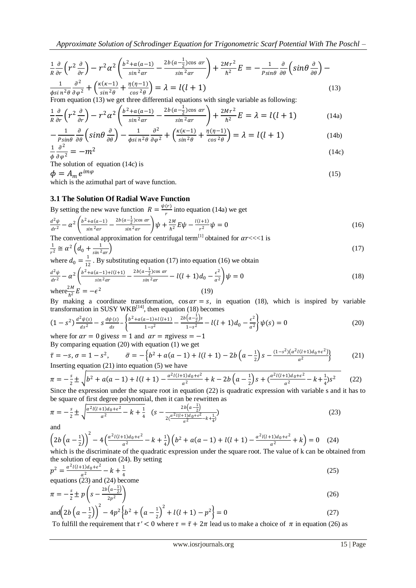$$
\frac{1}{R}\frac{\partial}{\partial r}\left(r^2\frac{\partial}{\partial r}\right) - r^2\alpha^2 \left(\frac{b^2 + a(a-1)}{\sin^2\alpha r} - \frac{2b(a-\frac{1}{2})\cos\alpha r}{\sin^2\alpha r}\right) + \frac{2Mr^2}{\hbar^2}E = -\frac{1}{P\sin\theta}\frac{\partial}{\partial\theta}\left(\sin\theta\frac{\partial}{\partial\theta}\right) - \frac{1}{\phi\sin^2\theta}\frac{\partial^2}{\partial\phi^2} + \left(\frac{\kappa(\kappa-1)}{\sin^2\theta} + \frac{\eta(\eta-1)}{\cos^2\theta}\right) = \lambda = l(l+1)
$$
\n(13)

From equation (13) we get three differential equations with single variable as following:

$$
\frac{1}{R}\frac{\partial}{\partial r}\left(r^2\frac{\partial}{\partial r}\right) - r^2\alpha^2 \left(\frac{b^2 + a(a-1)}{\sin^2\alpha r} - \frac{2b(a-\frac{1}{2})\cos\alpha r}{\sin^2\alpha r}\right) + \frac{2Mr^2}{\hbar^2}E = \lambda = l(l+1)
$$
(14a)

$$
-\frac{1}{p_{\sin\theta}}\frac{\partial}{\partial\theta}\left(\sin\theta\frac{\partial}{\partial\theta}\right) - \frac{1}{\phi\sin^2\theta}\frac{\partial^2}{\partial\varphi^2} + \left(\frac{\kappa(\kappa-1)}{\sin^2\theta} + \frac{\eta(\eta-1)}{\cos^2\theta}\right) = \lambda = l(l+1)
$$
(14b)

$$
\frac{1}{\phi} \frac{\partial^2}{\partial \varphi^2} = -m^2 \tag{14c}
$$

The solution of equation (14c) is

 $\phi=A_m e^{im\varphi}$ 

which is the azimuthal part of wave function.

# **3.1 The Solution Of Radial Wave Function**

By setting the new wave function  $R = \frac{\psi(r)}{r^2}$  $\frac{v}{r}$  into equation (14a) we get

$$
\frac{d^2\psi}{dr^2} - \alpha^2 \left( \frac{b^2 + a(a-1)}{\sin^2\alpha r} - \frac{2b(a-\frac{1}{2})\cos\alpha r}{\sin^2\alpha r} \right) \psi + \frac{2M}{\hbar^2} E \psi - \frac{l(l+1)}{r^2} \psi = 0
$$
\n(16)

The conventional approximation for centrifugal term<sup>[1]</sup> obtained for  $\alpha r \ll 1$  is

$$
\frac{1}{r^2} \cong \alpha^2 \left( d_0 + \frac{1}{\sin^2 \alpha r} \right) \tag{17}
$$

where 
$$
d_0 = \frac{1}{12}
$$
. By substituting equation (17) into equation (16) we obtain  
\n
$$
\frac{d^2\psi}{dr^2} - \alpha^2 \left( \frac{b^2 + a(a-1) + l(l+1)}{\sin^2 \alpha r} - \frac{2b(a-\frac{1}{2})\cos \alpha r}{\sin^2 \alpha r} - l(l+1)d_0 - \frac{\epsilon^2}{\alpha^2} \right) \psi = 0
$$
\nwhere  $\frac{2M}{\hbar^2} E = -\epsilon^2$  (19)

 $\sum_{n=1}^{\infty}$  and  $\sum_{n=1}^{\infty}$  is the equation of  $\sum_{n=1}^{\infty}$  in equation (18), which is inspired by variable transformation in SUSY WKB<sup>[14]</sup>, then equation (18) becomes

$$
(1-s^2)\frac{d^2\psi(s)}{ds^2} - s\frac{d\psi(s)}{ds} - \left\{\frac{b^2 + a(a-1) + l(l+1)}{1-s^2} - \frac{2b(a-\frac{1}{2})s}{1-s^2} - l(l+1)d_0 - \frac{\epsilon^2}{a^2}\right\}\psi(s) = 0\tag{20}
$$

where for  $\alpha r = 0$  givess = 1 and  $\alpha r = \pi$  givess = -1 By comparing equation (20) with equation (1) we get

$$
\bar{\tau} = -s, \sigma = 1 - s^2, \qquad \bar{\sigma} = -\left\{ b^2 + a(a-1) + l(l+1) - 2b\left(a - \frac{1}{2}\right)s - \frac{(1-s^2)(a^2l(l+1)a_0 + \epsilon^2)}{a^2} \right\}
$$
(21)  
Inserting equation (21) into equation (5) we have

$$
\pi = -\frac{s}{2} \pm \sqrt{b^2 + a(a-1) + l(l+1) - \frac{a^2l(l+1)d_0 + \epsilon^2}{a^2} + k - 2b\left(a - \frac{1}{2}\right)s + \left(\frac{a^2l(l+1)d_0 + \epsilon^2}{a^2} - k + \frac{1}{4}\right)s^2}
$$
(22)  
Since the expression under the square root in equation (22) is quadratic expression with variable s and it has to

ce the expression under the square root in equation  $(22)$  is quadratic expression with variable s and it has to be square of first degree polynomial, then it can be rewritten as

$$
\pi = -\frac{s}{2} \pm \sqrt{\frac{\alpha^2 l(l+1)d_0 + \epsilon^2}{\alpha^2} - k + \frac{1}{4}} \quad (s - \frac{2b(\alpha - \frac{1}{2})}{2(\frac{\alpha^2 l(l+1)d_0 + \epsilon^2}{\alpha^2} - k + \frac{1}{4})}
$$
(23)

$$
\left(2b\left(a-\frac{1}{2}\right)\right)^2 - 4\left(\frac{a^2l(l+1)d_0+\epsilon^2}{a^2} - k + \frac{1}{4}\right)\left(b^2 + a(a-1) + l(l+1) - \frac{a^2l(l+1)d_0+\epsilon^2}{a^2} + k\right) = 0 \quad (24)
$$
  
which is the discriminate of the quadratic expression under the square root. The value of k can be obtain

the is the discriminate of the quadratic expression under the square root. The value of k can be obtained from the solution of equation (24). By setting

$$
p^2 = \frac{\alpha^2 l(l+1)d_0 + \epsilon^2}{\alpha^2} - k + \frac{1}{4}
$$
  
equations (23) and (24) become

equations (25) and (24) become  
\n
$$
\pi = -\frac{s}{2} \pm p \left( s - \frac{2b(a - \frac{1}{2})}{2p^2} \right)
$$
\n(26)

and 
$$
\left(2b\left(a-\frac{1}{2}\right)\right)^2 - 4p^2\left(b^2 + \left(a-\frac{1}{2}\right)^2 + l(l+1) - p^2\right) = 0
$$
 (27)

To fulfill the requirement that  $\tau' < 0$  where  $\tau = \bar{\tau} + 2\pi$  lead us to make a choice of  $\pi$  in equation (26) as

(15)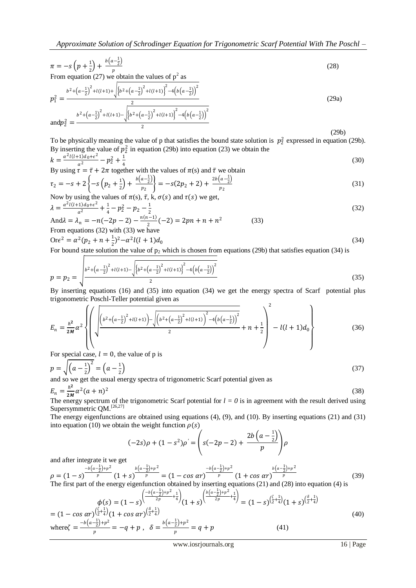$$
\pi = -s\left(p + \frac{1}{2}\right) + \frac{b\left(a - \frac{1}{2}\right)}{p} \tag{28}
$$

From equation (27) we obtain the values of  $p^2$  as

$$
p_1^2 = \frac{b^2 + (a - \frac{1}{2})^2 + l(l+1) + \sqrt{\left\{b^2 + (a - \frac{1}{2})^2 + l(l+1)\right\}^2 - 4\left(b\left(a - \frac{1}{2}\right)\right)^2}}{2}
$$
  
and 
$$
p_2^2 = \frac{b^2 + (a - \frac{1}{2})^2 + l(l+1) - \sqrt{\left\{b^2 + (a - \frac{1}{2})^2 + l(l+1)\right\}^2 - 4\left(b\left(a - \frac{1}{2}\right)\right)^2}}{2}
$$
 (29a)

(29b)

To be physically meaning the value of p that satisfies the bound state solution is  $p_2^2$  expressed in equation (29b). By inserting the value of  $p_2^2$  in equation (29b) into equation (23) we obtain the

$$
k = \frac{\alpha^2 l(l+1)d_0 + \epsilon^2}{\alpha^2} - p_2^2 + \frac{1}{4}
$$
  
By using  $\tau = \bar{\tau} + 2\pi$  together with the values of  $\pi(s)$  and  $\bar{\tau}$  we obtain

$$
\tau_2 = -s + 2\left\{-s\left(p_2 + \frac{1}{2}\right) + \frac{b\left(a - \frac{1}{2}\right)}{p_2}\right\} = -s(2p_2 + 2) + \frac{2b\left(a - \frac{1}{2}\right)}{p_2} \tag{31}
$$

Now by using the values of 
$$
\pi(s)
$$
,  $\bar{\tau}$ , k,  $\sigma(s)$  and  $\tau(s)$  we get,  
\n
$$
\lambda = \frac{a^2 l(l+1)d_0 + \epsilon^2}{a^2} + \frac{1}{4} - p_2^2 - p_2 - \frac{1}{2}
$$
\nAnd  $\lambda = \lambda_n = -n(-2p - 2) - \frac{n(n-1)}{2}(-2) = 2pn + n + n^2$  (33)

And
$$
\lambda = \lambda_n = -n(-2p - 2) - \frac{n(n-1)}{2}(-2) = 2pn + n + n^2
$$
 (33)  
From equations (32) with (33) we have

$$
Or\varepsilon^{2} = \alpha^{2}(p_{2} + n + \frac{1}{2})^{2} - \alpha^{2}l(l + 1)d_{0}
$$
\n(34)

For bound state solution the value of  $p_2$  which is chosen from equations (29b) that satisfies equation (34) is  $\Gamma$ 

$$
p = p_2 = \sqrt{\frac{b^2 + (a - \frac{1}{2})^2 + l(l+1) - \sqrt{\left\{b^2 + (a - \frac{1}{2})^2 + l(l+1)\right\}^2 - 4\left(b(a - \frac{1}{2})\right)^2}}{2}}
$$
(35)

By inserting equations (16) and (35) into equation (34) we get the energy spectra of Scarf potential plus trigonometric Poschl-Teller potential given as  $\overline{2}$  $\epsilon$ 

$$
E_n = \frac{\hbar^2}{2M} \alpha^2 \left\{ \left( \sqrt{\frac{\left(b^2 + \left(a - \frac{1}{2}\right)^2 + l(l+1)\right) - \sqrt{\left(b^2 + \left(a - \frac{1}{2}\right)^2 + l(l+1)\right)^2 - 4\left(b\left(a - \frac{1}{2}\right)\right)^2}}{2} + n + \frac{1}{2} \right) - l(l+1)d_0 \right\}
$$
(36)

For special case,  $l = 0$ , the value of p is

$$
p = \sqrt{\left(a - \frac{1}{2}\right)^2} = \left(a - \frac{1}{2}\right)
$$
  
and so we get the usual energy spectra of trigonometric Scarf potential given as (37)

$$
E_n = \frac{\hbar^2}{2M} \alpha^2 (a+n)^2
$$

The energy spectrum of the trigonometric Scarf potential for  $l = 0$  is in agreement with the result derived using Supersymmetric QM.<sup>[26,27]</sup>

The energy eigenfunctions are obtained using equations (4), (9), and (10). By inserting equations (21) and (31) into equation (10) we obtain the weight function  $\rho(s)$ 

$$
(-2s)\rho + (1 - s^2)\rho' = \left(s(-2p - 2) + \frac{2b\left(a - \frac{1}{2}\right)}{p}\rho\right)
$$

and after integrate it we get

$$
\rho = (1-s)^{-\frac{b(a-\frac{1}{2})+p^2}{p}} (1+s)^{-\frac{b(a-\frac{1}{2})+p^2}{p}} = (1-cos \alpha r)^{-\frac{b(a-\frac{1}{2})+p^2}{p}} (1+cos \alpha r)^{-\frac{b(a-\frac{1}{2})+p^2}{p}}
$$
\nThe first part of the energy eigenfunction obtained by inserting equations (21) and (28) into equation (4) is

$$
\phi(s) = (1 - s) \left( \frac{-b(a - \frac{1}{2}) + p^2}{2p} + \frac{1}{4} \right) (1 + s) \left( \frac{b(a - \frac{1}{2}) + p^2}{2p} + \frac{1}{4} \right) = (1 - s) \left( \frac{\zeta}{2} + \frac{1}{4} \right) (1 + s) \left( \frac{\zeta}{2} + \frac{1}{4} \right)
$$
\n
$$
\text{where } \zeta = \frac{-b(a - \frac{1}{2}) + p^2}{p} = -q + p \,, \quad \delta = \frac{b(a - \frac{1}{2}) + p^2}{p} = q + p \tag{41}
$$

(38)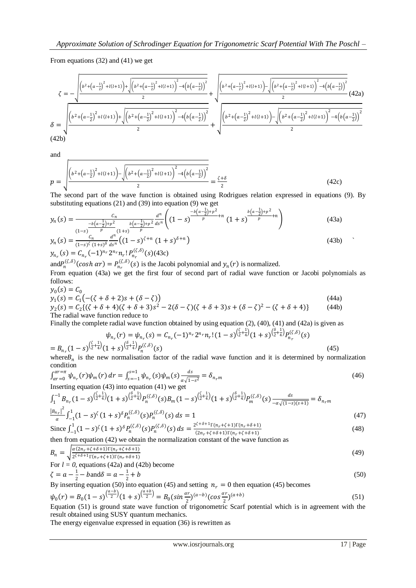From equations (32) and (41) we get

$$
\zeta = -\sqrt{\frac{\left(b^2 + \left(a-\frac{1}{2}\right)^2 + l(l+1)\right) + \sqrt{\left(b^2 + \left(a-\frac{1}{2}\right)^2 + l(l+1)\right)^2 - 4\left(b\left(a-\frac{1}{2}\right)\right)^2}}{2}}{2} + \sqrt{\frac{\left(b^2 + \left(a-\frac{1}{2}\right)^2 + l(l+1)\right) - \sqrt{\left(b^2 + \left(a-\frac{1}{2}\right)^2 + l(l+1)\right)^2 - 4\left(b\left(a-\frac{1}{2}\right)\right)^2}}{2}}{2} + \sqrt{\frac{\left(b^2 + \left(a-\frac{1}{2}\right)^2 + l(l+1)\right) - \sqrt{\left(b^2 + \left(a-\frac{1}{2}\right)^2 + l(l+1)\right)^2 - 4\left(b\left(a-\frac{1}{2}\right)\right)^2}}{2}}{2} + \sqrt{\frac{\left(b^2 + \left(a-\frac{1}{2}\right)^2 + l(l+1)\right) - \sqrt{\left(b^2 + \left(a-\frac{1}{2}\right)^2 + l(l+1)\right)^2 - 4\left(b\left(a-\frac{1}{2}\right)\right)^2}}{2}}{2} + \sqrt{\frac{\left(b^2 + \left(a-\frac{1}{2}\right)^2 + l(l+1)\right) - \sqrt{\left(b^2 + \left(a-\frac{1}{2}\right)^2 + l(l+1)\right)^2 - 4\left(b\left(a-\frac{1}{2}\right)\right)^2}}{2}}{2} + \sqrt{\frac{\left(b^2 + \left(a-\frac{1}{2}\right)^2 + l(l+1)\right) - \sqrt{\left(b^2 + \left(a-\frac{1}{2}\right)^2 + l(l+1)\right)^2 - 4\left(b\left(a-\frac{1}{2}\right)\right)^2}}{2}}{2} + \sqrt{\frac{\left(b^2 + \left(a-\frac{1}{2}\right)^2 + l(l+1)\right) - \sqrt{\left(b^2 + \left(a-\frac{1}{2}\right)^2 + l(l+1)\right)^2 - 4\left(b\left(a-\frac{1}{2}\right)\right)^2}}{2}}{2} + \sqrt{\frac{\left(b^2 + \left(a-\frac{1}{2}\right)^2 + l(l+1)\right) - \sqrt{\left(b^2 + \left(a-\frac{1}{2}\right)^2 + l(l+1)\right)^2 - 4\left(b\left(a-\frac{1}{2}\right)\right)^2}}{2}}{2} + \sqrt{\frac{\left(b^2 + \left(a-\frac{1}{2}\right)^2 + l(l+
$$

and

$$
p = \sqrt{\frac{\left(b^2 + \left(a - \frac{1}{2}\right)^2 + l(l+1)\right) - \sqrt{\left(b^2 + \left(a - \frac{1}{2}\right)^2 + l(l+1)\right)^2 - 4\left(b\left(a - \frac{1}{2}\right)\right)^2}}{2}} = \frac{\zeta + \delta}{2}
$$
(42c)

The second part of the wave function is obtained using Rodrigues relation expressed in equations (9). By substituting equations (21) and (39) into equation (9) we get

$$
y_n(s) = \frac{c_n}{\frac{-b(a-\frac{1}{2})+p^2}{p}\cdot\frac{b(a-\frac{1}{2})+p^2}{p}\cdot\frac{a^2}{p}} \left( (1-s)^{\frac{-b(a-\frac{1}{2})+p^2}{p}+n} (1+s)^{\frac{b(a-\frac{1}{2})+p^2}{p}+n} \right)
$$
(43a)

$$
y_n(s) = \frac{c_n}{(1-s)^{\zeta} (1+s)^{\delta}} \frac{d^n}{ds^n} \left( (1-s)^{\zeta+n} (1+s)^{\delta+n} \right)
$$
  
\n
$$
y_{n_r}(s) = C_{n_r} (-1)^{n_r} 2^{n_r} n_r! P_{n_r}^{(\zeta,\delta)}(s) (43c)
$$
\n(43b)

and  $P_n^{(\zeta,\delta)}(\cosh \alpha r) = P_{n_r}^{(\zeta,\delta)}(s)$  is the Jacobi polynomial and  $y_n(r)$  is normalized. From equation (43a) we get the first four of second part of radial wave function or Jacobi polynomials as follows:

$$
y_0(s) = C_0
$$
  
\n
$$
y_1(s) = C_1(-(z + \delta + 2)s + (\delta - \zeta))
$$
  
\n
$$
y_2(s) = C_2((z + \delta + 4)(z + \delta + 3)s^2 - 2(\delta - \zeta)(z + \delta + 3)s + (\delta - \zeta)^2 - (z + \delta + 4))
$$
\n(44a)  
\nThe radial wave function reduce to

Finally the complete radial wave function obtained by using equation (2), (40), (41) and (42a) is given as

$$
\psi_{n_r}(r) = \psi_{n_r}(s) = C_{n_r}(-1)^{n_r} 2^{n_r} n_r! (1-s)^{\left(\frac{\zeta}{2} + \frac{1}{4}\right)} (1+s)^{\left(\frac{\zeta}{2} + \frac{1}{4}\right)} P_{n_r}^{(\zeta, \delta)}(s)
$$
\n
$$
= B_{n_r}(1-s)^{\left(\frac{\zeta}{2} + \frac{1}{4}\right)} (1+s)^{\left(\frac{\zeta}{2} + \frac{1}{4}\right)} P_n^{(\zeta, \delta)}(s)
$$
\n
$$
(45)
$$

where $B_n$  is the new normalisation factor of the radial wave function and it is determined by normalization condition

$$
\int_{\alpha r=0}^{\alpha r=\pi} \psi_{n_r}(r) \psi_m(r) \, dr = \int_{s=-1}^{s=1} \psi_{n_r}(s) \psi_m(s) \frac{ds}{\alpha \sqrt{1-s^2}} = \delta_{n_r m}
$$
\n(46)

\nInserting equation (43) into equation (41) we get

$$
\int_{1}^{-1} B_{n_{r}} (1-s)^{\left(\frac{y}{2}+\frac{1}{4}\right)} (1+s)^{\left(\frac{\delta}{2}+\frac{1}{4}\right)} P_{n}^{(\zeta,\delta)}(s) B_{m} (1-s)^{\left(\frac{y}{2}+\frac{1}{4}\right)} (1+s)^{\left(\frac{\delta}{2}+\frac{1}{4}\right)} P_{m}^{(\zeta,\delta)}(s) \frac{ds}{-\alpha\sqrt{(1-s)(s+1)}} = \delta_{n_{r}m}
$$
\n
$$
\frac{|B_{n_{r}}|^{2}}{\alpha} \int_{-1}^{1} (1-s)^{\zeta} (1+s)^{\delta} P_{n}^{(\zeta,\delta)}(s) P_{n}^{(\zeta,\delta)}(s) ds = 1
$$
\n
$$
(47)
$$

$$
\int_{-\infty}^{\infty} \int_{-1}^{1} (1-s)^{\zeta} (1+s)^{\delta} P_n^{(\zeta,\delta)}(s) P_n^{(\zeta,\delta)}(s) ds = \frac{2^{\zeta+\delta+1} \Gamma(n_r+\zeta+1) \Gamma(n_r+\delta+1)}{(2n_r+\zeta+\delta+1) \Gamma(n_r+\zeta+\delta+1)}
$$
(48)

then from equation (42) we obtain the normalization constant of the wave function as

$$
B_n = \sqrt{\frac{\alpha (2n_r + \zeta + \delta + 1)\Gamma(n_r + \zeta + \delta + 1)}{2\zeta + \delta + 1}\Gamma(n_r + \zeta + 1)\Gamma(n_r + \delta + 1)}
$$
(49)

For  $l = 0$ , equations (42a) and (42b) become

$$
\zeta = a - \frac{1}{2} - b \text{ and } \delta = a - \frac{1}{2} + b \tag{50}
$$
\nBy inserting equation (50) into equation (45) and setting  $n = 0$  then equation (45) becomes

By inserting equation (50) into equation (45) and setting  $n_r = 0$  then equation (45) becomes a−b  $a + b$ 

$$
\psi_0(r) = B_0 \left(1 - s\right)^{\left(\frac{a-b}{2}\right)} \left(1 + s\right)^{\left(\frac{a+b}{2}\right)} = B_0 \left(\sin \frac{ar}{2}\right)^{(a-b)} \left(\cos \frac{ar}{2}\right)^{(a+b)}\tag{51}
$$
\nEquation (51) is around state wave function of trigonometric S<sub>Q</sub> for the *g*-th term, *h*-th term, *h*-th term, *h*-th term, *h*-th term, *h*-th term, *h*-th term, *h*-th term, *h*-th term, *h*-th term, *h*-th term, *h*-th term, *h*-th term, *h*-th term, *h*-th term, *h*-th term, *h*-th term, *h*-th term, *h*-th term, *h*-th term, *h*-th term, *h*-th term, *h*-th term, *h*-th term, *h*-th term, *h*-th term, *h*-th term, *h*-th term, *h*-th term, *h*-th term, *h*-th term, *h*-th term, *h*-th term, *h*-th term, *h*-th term, *h*-th term, *h*-th term, *h*-th term, *h*-th term, *h*-th term, *h*-th term, *h*-th term, *h*-th term, *h*-th term, *h*-th term, *h*-th term, *h*-th term, *h*-th term, *h*-th term, *h*-th term, *h*-th term, *h*-th term, *h*-th term, *h*-th term, *h*-th term, *h*-th term, *h*-th term, *h*-th term, *h*-th term, *h*-th term, *h*-th term, *h*-th term, *h*-th term, *h*

Equation (51) is ground state wave function of trigonometric Scarf potential which is in agreement with the result obtained using SUSY quantum mechanics.

The energy eigenvalue expressed in equation (36) is rewritten as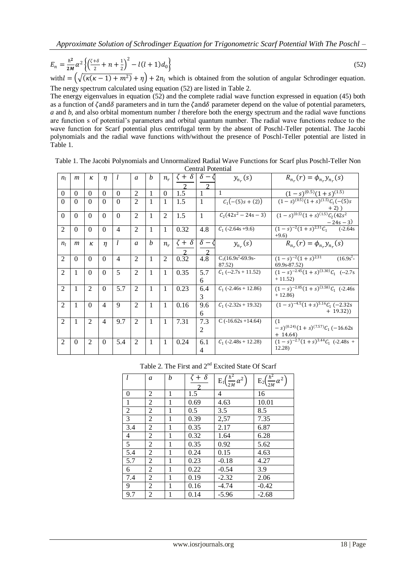$$
E_n = \frac{\hbar^2}{2M} \alpha^2 \left\{ \left( \frac{\zeta + \delta}{2} + n + \frac{1}{2} \right)^2 - l(l+1) d_0 \right\}
$$
 (52)  
with  $l = \left( \sqrt{\left( \kappa(\kappa - 1) + m^2 \right)} + \eta \right) + 2n_l$ , which is obtained from the solution of angular Schrodinger equation.

with  $l = (\sqrt{(\kappa(\kappa-1)+m^2)} + \eta) + 2n_l$  which is obtained from the solution of angular Schrodinger equation. The nergy spectrum calculated using equation (52) are listed in Table 2.

The energy eigenvalues in equation (52) and the complete radial wave function expressed in equation (45) both as a function of  $\zeta$  and  $\delta$  parameters and in turn the  $\zeta$  and  $\delta$  parameter depend on the value of potential parameters, *a* and *b*, and also orbital momentum number *l* therefore both the energy spectrum and the radial wave functions are function s of potential's parameters and orbital quantum number. The radial wave functions reduce to the wave function for Scarf potential plus centrifugal term by the absent of Poschl-Teller potential. The Jacobi polynomials and the radial wave functions with/without the presence of Poschl-Teller potential are listed in Table 1.

|                             | Central I otential |                |                |                |                             |                  |                |                  |                       |                                |                                                                          |
|-----------------------------|--------------------|----------------|----------------|----------------|-----------------------------|------------------|----------------|------------------|-----------------------|--------------------------------|--------------------------------------------------------------------------|
| $n_l$                       | $\boldsymbol{m}$   | к              | $\eta$         | l              | $\mathfrak{a}$              | $\boldsymbol{b}$ | $n_r$          | $\zeta + \delta$ | $\delta$ –<br>っ       | $y_{n_r}(s)$                   | $R_{n_r}(r) = \phi_{n_r} y_{n_r}(s)$                                     |
| $\theta$                    | $\Omega$           | $\Omega$       | $\Omega$       | $\Omega$       | $\mathfrak{D}$              | 1                | $\Omega$       | 1.5              |                       | $\mathbf{1}$                   | $(1-s)^{(0.5)}(1+s)^{(1.5)}$                                             |
| $\Omega$                    | $\Omega$           | $\Omega$       | $\Omega$       | $\Omega$       | $\mathfrak{D}$              |                  |                | 1.5              | 1                     | $C_1(-(5)s+(2))$               | $\sqrt{(1-s)^{(0.5)}(1+s)^{(1.5)}}C_1(-(5)s)$                            |
| $\Omega$                    | $\Omega$           | $\Omega$       | $\Omega$       | $\Omega$       | $\overline{2}$              | 1                | $\mathfrak{D}$ | 1.5              | $\mathbf{1}$          | $C_2(42s^2-24s-3)$             | $\frac{+2)}{(1-s)^{(0.5)}(1+s)^{(1.5)}C_2(42s^2)}$                       |
| 2                           | $\Omega$           | $\Omega$       | $\Omega$       | $\overline{4}$ | $\overline{2}$              | 1                | $\mathbf{1}$   | 0.32             | 4.8                   | $C_1$ (-2.64s +9.6)            | $\frac{-24s-3)}{(1-s)^{-2}(1+s)^{2.31}\mathcal{C}_1}$ (-2.64s)<br>$+9.6$ |
| n <sub>l</sub>              | $\boldsymbol{m}$   | к              | $\eta$         | l              | a                           | $\boldsymbol{b}$ | $n_r$          | $\zeta + \delta$ | $\delta$ –            | $y_{n_r}(s)$                   | $R_{n_r}(r) = \phi_{n_r} y_{n_r}(s)$                                     |
| 2                           | $\Omega$           | $\Omega$       | $\Omega$       | $\overline{4}$ | $\overline{2}$              | 1                | 2              | 0.32             | 4.8                   | $C_1(16.9s^2-69.9s-$<br>87.52) | $(1-s)^{-2}$ $\sqrt{(1+s)^{2.31}}$<br>$(16.9s^2 -$<br>69.9s-87.52)       |
| $\mathfrak{D}$              | 1                  | $\Omega$       | $\Omega$       | 5              | $\overline{2}$              | 1                | $\mathbf{1}$   | 0.35             | 5.7<br>6              | $C_1$ (--2.7s + 11.52)         | $(1-s)^{-2.45}(1+s)^{(3.30)}C_1$ (--2.7s)<br>$+11.52$                    |
| $\mathfrak{D}$              | 1                  | $\overline{2}$ | $\Omega$       | 5.7            | $\mathfrak{D}$              | 1                | 1              | 0.23             | 6.4<br>3              | $C_1$ (-2.46s + 12.86)         | $(1-s)^{-2.85}(1+s)^{(3.58)}C_1$ (-2.46s)<br>$+12.86$                    |
| $\mathcal{D}_{\mathcal{L}}$ | 1                  | $\Omega$       | $\overline{4}$ | 9              | $\mathcal{D}_{\mathcal{L}}$ | 1                | 1              | 0.16             | 9.6<br>6              | $C_1$ (-2.32s + 19.32)         | $(1-s)^{-4.5}(1+s)^{5.16}C_1(-2.32s)$<br>$+ 19.32)$                      |
| 2                           | $\mathbf{1}$       | $\overline{2}$ | $\overline{4}$ | 9.7            | 2                           | 1                | $\mathbf{1}$   | 7.31             | 7.3<br>$\overline{2}$ | $C$ (-16.62s +14.64)           | (1)<br>$(s- s)^{(0.24)}(1 + s)^{(7.57)}C_1(-16.62s)$<br>$+ 14.64$        |
| 2                           | $\Omega$           | $\overline{2}$ | $\Omega$       | 5.4            | 2                           | 1                | 1              | 0.24             | 6.1<br>4              | $C_1$ (-2.48s + 12.28)         | $(1-s)^{-2.7}(1+s)^{3.44}\mathcal{C}_1$ (-2.48s +<br>12.28               |

Table 1. The Jacobi Polynomials and Unnormalized Radial Wave Functions for Scarf plus Poschl-Teller Non Central Potential

Table 2. The First and 2nd Excited State Of Scarf

| l              | a | h | $\zeta + \delta$ | $E_1\left(\frac{\hbar^2}{2M}\alpha^2\right)$ | $E_2\left(\frac{\hbar^2}{2M}\alpha^2\right)$ |
|----------------|---|---|------------------|----------------------------------------------|----------------------------------------------|
| $\theta$       | 2 | 1 | 1.5              | 4                                            | 16                                           |
| 1              | 2 | 1 | 0.69             | 4.63                                         | 10.01                                        |
| $\overline{2}$ | 2 | 1 | 0.5              | 3.5                                          | 8.5                                          |
| 3              | 2 | 1 | 0.39             | 2,57                                         | 7.35                                         |
| 3.4            | 2 | 1 | 0.35             | 2.17                                         | 6.87                                         |
| 4              | 2 | 1 | 0.32             | 1.64                                         | 6.28                                         |
| 5              | 2 | 1 | 0.35             | 0.92                                         | 5.62                                         |
| 5.4            | 2 | 1 | 0.24             | 0.15                                         | 4.63                                         |
| 5.7            | 2 | 1 | 0.23             | $-0.18$                                      | 4.27                                         |
| 6              | 2 | 1 | 0.22             | $-0.54$                                      | 3.9                                          |
| 7.4            | 2 | 1 | 0.19             | $-2.32$                                      | 2.06                                         |
| 9              | 2 | 1 | 0.16             | $-4.74$                                      | $-0.42$                                      |
| 9.7            | 2 | 1 | 0.14             | $-5.96$                                      | $-2.68$                                      |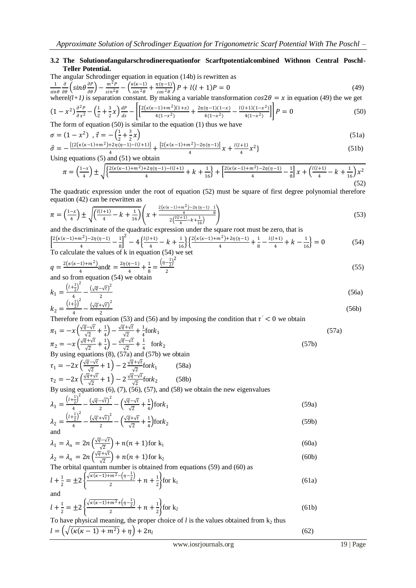## **3.2 The Solutionofangularschrodinerequationfor Scarftpotentialcombined Withnon Central Poschl-Teller Potential.**

The angular Schrodinger equation in equation (14b) is rewritten as  
\n
$$
\frac{1}{\sin \theta} \frac{\partial}{\partial \theta} \left( \sin \theta \frac{\partial P}{\partial \theta} \right) - \frac{m^2 P}{\sin^2 \theta} - \left( \frac{\kappa(\kappa - 1)}{\sin^2 \theta} + \frac{\eta(\eta - 1)}{\cos^2 \theta} \right) P + l(l+1)P = 0
$$
\n(49)

where $l(l+1)$  is separation constant. By making a variable transformation  $cos 2\theta = x$  in equation (49) the we get

$$
(1 - x^2) \frac{\partial^2 P}{\partial x^2} - \left(\frac{1}{2} + \frac{3}{2}x\right) \frac{dP}{ds} - \left[ \frac{2(\kappa(\kappa - 1) + m^2)(1 + x)}{4(1 - x^2)} + \frac{2\eta(\eta - 1)(1 - x)}{4(1 - x^2)} - \frac{l(l+1)(1 - x^2)}{4(1 - x^2)} \right] P = 0
$$
(50)

The form of equation (50) is similar to the equation (1) thus we have

$$
\sigma = (1 - x^2), \ \vec{\tau} = -\left(\frac{1}{2} + \frac{3}{2}x\right)
$$
\n
$$
\vec{\sigma} = -\frac{\left\{\left[2\left(\kappa(\kappa-1) + m^2\right) + 2\eta(\eta-1) - l(l+1)\right]}{4} + \frac{\left[2\left(\kappa(\kappa-1) + m^2\right) - 2\eta(\eta-1)\right]}{4}x + \frac{l(l+1)}{4}x^2\}
$$
\n(51a)

4 Using equations  $(5)$  and  $(51)$  we obtain

$$
\pi = \left(\frac{1-x}{4}\right) \pm \sqrt{\left\{\frac{2\left(\kappa(\kappa-1)+m^2\right) + 2\eta(\eta-1) - l(l+1)}{4} + k + \frac{1}{16}\right\} + \left[\frac{2\left(\kappa(\kappa-1)+m^2\right) - 2\eta(\eta-1)}{4} - \frac{1}{8}\right]x + \left(\frac{l(l+1)}{4} - k + \frac{1}{16}\right)x^2}\right] (52)
$$

The quadratic expression under the root of equation (52) must be square of first degree polynomial therefore equation (42) can be rewritten as

$$
\pi = \left(\frac{1-x}{4}\right) \pm \sqrt{\left(\frac{l(l+1)}{4} - k + \frac{1}{16}\right)} \left(x + \frac{\frac{2\left(\kappa(\kappa - 1) + m^2\right) - 2\eta(\eta - 1)}{4} - \frac{1}{8}}{2\left(\frac{l(l+1)}{4} - k + \frac{1}{16}\right)}\right)
$$
\nand the discriminates of the quadratic expression under the square root must be zero, that is

and the discriminate of the quadratic expression under the square root must be zero, that is

$$
\left[\frac{2(\kappa(\kappa-1)+m^2)-2\eta(\eta-1)}{4}-\frac{1}{8}\right]^2-4\left\{\frac{l(l+1)}{4}-k+\frac{1}{16}\right\}\left\{\frac{2(\kappa(\kappa-1)+m^2)+2\eta(\eta-1)}{4}+\frac{1}{8}-\frac{l(l+1)}{4}+k-\frac{1}{16}\right\}=0\tag{54}
$$
  
To calculate the values of k in equation (54) we set

$$
q = \frac{2(\kappa(\kappa - 1) + m^2)}{4} \text{ and } t = \frac{2\eta(\eta - 1)}{4} + \frac{1}{8} = \frac{\left(\eta - \frac{1}{2}\right)^2}{2}
$$
  
and so from equation (54) we obtain

$$
k_1 = \frac{\left(\iota + \frac{1}{2}\right)^2}{4} - \frac{\left(\sqrt{q} - \sqrt{t}\right)^2}{2}
$$
\n
$$
k_2 = \frac{\left(\iota + \frac{1}{2}\right)^2}{4} - \frac{\left(\sqrt{q} + \sqrt{t}\right)^2}{2}
$$
\n(56a)

4 Therefore from equation (53) and (56) and by imposing the condition that  $\tau' < 0$  we obtain

$$
\pi_1 = -x\left(\frac{\sqrt{q}-\sqrt{t}}{\sqrt{2}} + \frac{1}{4}\right) - \frac{\sqrt{q}+\sqrt{t}}{\sqrt{2}} + \frac{1}{4}\text{fork}_1
$$
\n
$$
\pi_2 = -x\left(\frac{\sqrt{q}+\sqrt{t}}{\sqrt{2}} + \frac{1}{4}\right) - \frac{\sqrt{q}-\sqrt{t}}{\sqrt{2}} + \frac{1}{4} \quad \text{fork}_2
$$
\nBy using equations (8) (57a) and (57b) we obtain

\n
$$
x = \frac{1}{\sqrt{2}} + \frac{1}{4} \quad \text{for } x = 0
$$

By using equations (8), (57a) and (57b) we obtain  $(58)$ 

2

$$
\tau_1 = -2x \left( \frac{\sqrt{q} - \sqrt{t}}{\sqrt{2}} + 1 \right) - 2 \frac{\sqrt{q} + \sqrt{t}}{\sqrt{2}} \text{for} k_1
$$
\n
$$
\tau_2 = -2x \left( \frac{\sqrt{q} + \sqrt{t}}{\sqrt{2}} + 1 \right) - 2 \frac{\sqrt{q} - \sqrt{t}}{\sqrt{2}} \text{for} k_2
$$
\n(58b)

By using equations (6), (7), (56), (57), and (58) we obtain the new eigenvalues

$$
\lambda_1 = \frac{\left(\iota + \frac{1}{2}\right)^2}{4} - \frac{\left(\sqrt{q} - \sqrt{t}\right)^2}{2} - \left(\frac{\sqrt{q} - \sqrt{t}}{\sqrt{2}} + \frac{1}{4}\right) \text{for } k_1
$$
\n(59a)

$$
\lambda_2 = \frac{\left(\frac{l+\frac{1}{2}}{4}\right)}{4} - \frac{\left(\sqrt{q} + \sqrt{t}\right)^2}{2} - \left(\frac{\sqrt{q} + \sqrt{t}}{\sqrt{2}} + \frac{1}{4}\right) \text{for} k_2 \tag{59b}
$$

$$
\lambda_1 = \lambda_n = 2n \left( \frac{\sqrt{q} - \sqrt{t}}{\sqrt{2}} \right) + n(n+1) \text{ for } k_1
$$
\n(60a)

$$
\lambda_2 = \lambda_n = 2n \left( \frac{\sqrt{q} + \sqrt{t}}{\sqrt{2}} \right) + n(n+1) \text{ for } k_2
$$
\n(60b)

The orbital quantum number is obtained from equations (59) and (60) as

$$
l + \frac{1}{2} = \pm 2 \left\{ \frac{\sqrt{\kappa(\kappa - 1) + m^2} - (n - \frac{1}{2})}{2} + n + \frac{1}{2} \right\} \text{for } k_1
$$
 (61a)

and

$$
l + \frac{1}{2} = \pm 2 \left\{ \frac{\sqrt{\kappa(\kappa - 1) + m^2} + (n - \frac{1}{2})}{2} + n + \frac{1}{2} \right\} \text{for } k_2
$$
 (61b)

To have physical meaning, the proper choice of  $l$  is the values obtained from  $k_2$  thus

$$
l = \left(\sqrt{\left(\kappa(\kappa - 1) + m^2\right)} + \eta\right) + 2n_l\tag{62}
$$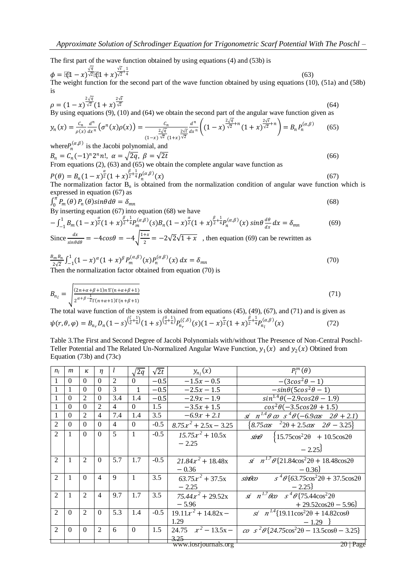The first part of the wave function obtained by using equations (4) and (53b) is

$$
\phi = [\underbrace{21 - x}_{\text{m}}] \frac{\sqrt{a}}{\sqrt{2}} [\underbrace{21 + x}_{\text{m}}] \frac{\sqrt{c}}{\sqrt{2}} + \frac{1}{4}
$$
\n(63)

\nThe weight function for the second part of the wave function obtained by using equations (10), (51a) and (58b) is

$$
\rho = (1 - x)^{\frac{2\sqrt{q}}{\sqrt{2}}}(1 + x)^{\frac{2\sqrt{t}}{\sqrt{2}}}
$$
\n(64)

By using equations (9), (10) and (64) we obtain the second part of the angular wave function given as

$$
y_n(x) = \frac{c_n}{\rho(x)} \frac{d^n}{dx^n} \left( \sigma^n(x) \rho(x) \right) = \frac{c_n}{\frac{2\sqrt{q}}{(1-x)^{\sqrt{2}}} \frac{d^n}{dx^n}} \left( (1-x)^{\frac{2\sqrt{q}}{\sqrt{2}}+n} (1+x)^{\frac{2\sqrt{t}}{\sqrt{2}}+n} \right) = B_n P_n^{(\alpha,\beta)} \tag{65}
$$

where  $P_n^{(\alpha,\beta)}$  is the Jacobi polynomial, and  $B_n = C_n (-1)^n 2^n n!, \ \alpha = \sqrt{2q}, \ \beta = \sqrt{2t}$  (66)

From equations (2), (63) and (65) we obtain the complete angular wave function as

$$
P(\theta) = B_n (1 - x)^{\frac{\alpha}{2}} (1 + x)^{\frac{\beta}{2} + \frac{1}{4}} P_n^{(\alpha, \beta)}(x)
$$
(67)

The normalization factor  $B_n$  is obtained from the normalization condition of angular wave function which is expressed in equation (67) as

$$
\int_0^{\pi} P_m(\theta) P_n(\theta) \sin \theta d\theta = \delta_{mn} \tag{68}
$$

 $B_y$   $\frac{1}{m}$  (c)  $\frac{1}{n}$  (c)  $\frac{1}{s}$  contracts  $\frac{1}{m}$ <br>By inserting equation (67) into equation (68) we have

$$
-\int_{-1}^{1} B_m (1-x)^{\frac{\alpha}{2}} (1+x)^{\frac{\beta}{2}+\frac{1}{4}} P_m^{(\alpha,\beta)}(s) B_n (1-x)^{\frac{\alpha}{2}} (1+x)^{\frac{\beta}{2}+\frac{1}{4}} P_n^{(\alpha,\beta)}(x) \sin \theta \frac{d\theta}{dx} dx = \delta_{mn}
$$
(69)

Since  $\frac{dx}{\sin\theta d\theta} = -4\cos\theta = -4\sqrt{\frac{1+x}{2}}$  $\frac{4x}{2} = -2\sqrt{2}\sqrt{1+x}$ , then equation (69) can be rewritten as

$$
\frac{B_m B_n}{2\sqrt{2}} \int_{-1}^{1} (1-x)^{\alpha} (1+x)^{\beta} P_m^{(\alpha,\beta)}(x) P_n^{(\alpha,\beta)}(x) dx = \delta_{mn}
$$
\nThen the normalization factor obtained from equation (70) is

Then the normalization factor obtained from equation (70) is

$$
B_{n_l} = \sqrt{\frac{(2n+\alpha+\beta+1)n!\Gamma(n+\alpha+\beta+1)}{2^{\alpha+\beta-\frac{1}{2}}\Gamma(n+\alpha+1)\Gamma(n+\beta+1)}}\tag{71}
$$

The total wave function of the system is obtained from equations (45), (49), (67), and (71) and is given as  $\psi(r,\theta,\varphi) = B_{n_r} D_n (1-s)^{\left(\frac{\zeta}{2}+\frac{1}{4}\right)} (1+s)^{\left(\frac{\zeta}{2}+\frac{1}{4}\right)} P_{n_r}^{(\zeta,\delta)}(s) (1-x)^{\frac{\alpha}{2}} (1+x)^{\frac{\beta}{2}+\frac{1}{4}} P_{n_l}^{(\alpha,\beta)}$  $(72)$ 

Table 3.The First and Second Degree of Jacobi Polynomials with/without The Presence of Non-Central Poschl-Teller Potential and The Related Un-Normalized Angular Wave Function,  $y_1(x)$  and  $y_2(x)$  Obtined from Equation (73b) and (73c)

| $n_l$          | m              | к              | $\eta$                   | l              | $\sqrt{2q}$    | $\sqrt{2t}$ | $y_{n_i}(x)$            | $P_l^m(\theta)$                                                                              |
|----------------|----------------|----------------|--------------------------|----------------|----------------|-------------|-------------------------|----------------------------------------------------------------------------------------------|
|                | $\Omega$       | $\theta$       | $\Omega$                 | $\overline{2}$ | $\Omega$       | $-0.5$      | $-1.5x - 0.5$           | $-(3cos^2\theta-1)$                                                                          |
|                | -1             | $\Omega$       | $\Omega$                 | 3              | $\mathbf{1}$   | $-0.5$      | $-2.5x - 1.5$           | $-sin\theta(5cos^2\theta-1)$                                                                 |
|                | $\Omega$       | $\mathfrak{D}$ | $\Omega$                 | 3.4            | 1.4            | $-0.5$      | $-2.9x - 1.9$           | $sin1.4 \theta(-2.9cos2\theta - 1.9)$                                                        |
|                | $\theta$       | $\theta$       | $\overline{2}$           | $\overline{4}$ | $\Omega$       | 1.5         | $-3.5x + 1.5$           | $cos^2\theta(-3.5cos2\theta+1.5)$                                                            |
|                | $\Omega$       | $\overline{c}$ | $\overline{4}$           | 7.4            | 1.4            | 3.5         | $-6.9x + 2.1$           | $\sin n^{1.4} \theta \omega s^4 \theta (-6.9 \omega s \quad 2\theta + 2.1)$                  |
| $\overline{2}$ | $\Omega$       | $\theta$       | $\Omega$                 | $\overline{4}$ | $\Omega$       | $-0.5$      | $8.75x^2 + 2.5x - 3.25$ | ${8.75 \alpha s \quad {}^22\theta + 2.5 \alpha s \quad 2\theta - 3.25}$                      |
| $\mathfrak{D}$ | $\mathbf{1}$   | $\Omega$       | $\Omega$                 | $\overline{5}$ | $\overline{1}$ | $-0.5$      | $15.75x^2 + 10.5x$      | $\sin\theta$ {15.75cos <sup>2</sup> 2 $\theta$ + 10.5cos2 $\theta$                           |
|                |                |                |                          |                |                |             | $-2.25$                 |                                                                                              |
|                |                |                |                          |                |                |             |                         | $-2.25$                                                                                      |
| $\overline{2}$ | $\overline{1}$ | $\overline{2}$ | $\Omega$                 | 5.7            | 1.7            | $-0.5$      | $21.84x^2 + 18.48x$     | $\overline{s}$ $\overline{n}^{1.7} \theta$ {21.84cos <sup>2</sup> 20 + 18.48cos20            |
|                |                |                |                          |                |                |             | $-0.36$                 | $-0.36$                                                                                      |
| $\mathfrak{D}$ | $\overline{1}$ | $\Omega$       | $\overline{\mathcal{A}}$ | 9              | $\overline{1}$ | 3.5         | $63.75x^2 + 37.5x$      | $\sqrt{s^4 \theta \{63.75 \cos^2 2\theta + 37.5 \cos 2\theta}$<br>sin <del>l</del> ko        |
|                |                |                |                          |                |                |             | $-2.25$                 | $-2.25$                                                                                      |
| $\mathfrak{D}$ | $\mathbf{1}$   | $\overline{2}$ | $\overline{4}$           | 9.7            | 1.7            | 3.5         | $75.44x^2 + 29.52x$     | $\sin n^{1.7} \theta c \sigma s^4 \theta \{75.44 \cos^2 2\theta$                             |
|                |                |                |                          |                |                |             | $-5.96$                 | $+29.52\cos 2\theta - 5.96$                                                                  |
| $\mathfrak{D}$ | $\Omega$       | $\overline{2}$ | $\Omega$                 | 5.3            | 1.4            | $-0.5$      | $19.11x^2 + 14.82x -$   | $\overline{s}$ $\overline{s}$ $n^{14}$ {19.11cos <sup>2</sup> 2 $\theta$ + 14.82cos $\theta$ |
|                |                |                |                          |                |                |             | 1.29                    | $-1.29$ }                                                                                    |
| $\mathfrak{D}$ | $\Omega$       | $\theta$       | 2                        | 6              | $\theta$       | 1.5         | 24.75 $x^2 - 13.5x -$   | $\omega s^2 \theta$ {24.75cos <sup>2</sup> 20 - 13.5cos0 - 3.25}                             |
|                |                |                |                          |                |                |             | 3.25                    |                                                                                              |
|                |                |                |                          |                |                |             | www.iosrjournals.org    | 20   Page                                                                                    |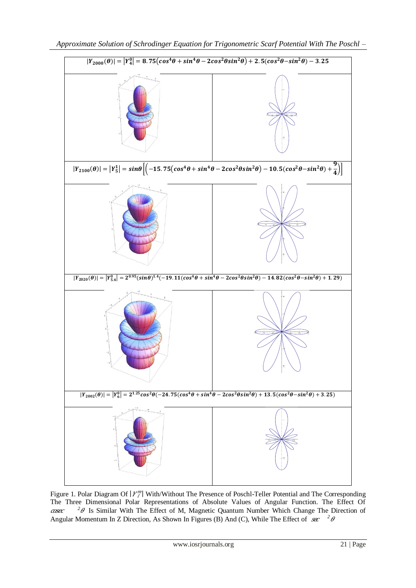

Figure 1. Polar Diagram Of  $|Y_l^m|$  With/Without The Presence of Poschl-Teller Potential and The Corresponding The Three Dimensional Polar Representations of Absolute Values of Angular Function. The Effect Of cosec  $2\theta$  Is Similar With The Effect of M, Magnetic Quantum Number Which Change The Direction of Angular Momentum In Z Direction, As Shown In Figures (B) And (C), While The Effect of  $\int \sec^2 \theta$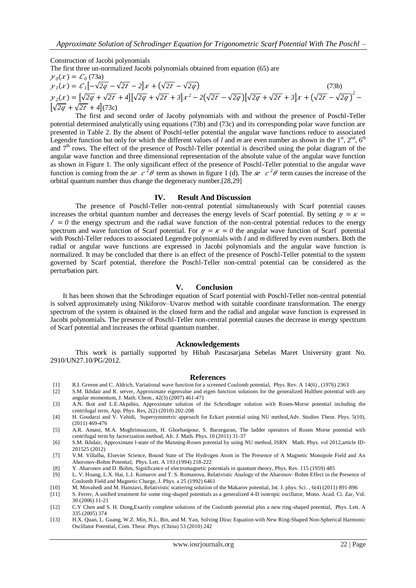Construction of Jacobi polynomials

The first three un-normalized Jacobi polynomials obtained from equation (65) are

 $y_0(x) = C_0(73a)$  $y_1(x) = C_1 \left[ -\sqrt{2q} - \sqrt{2t} - 2 \right] x + (\sqrt{2t} - \sqrt{2q})$  (73b)  $y_2(x) = [\sqrt{2q} + \sqrt{2t} + 4][\sqrt{2q} + \sqrt{2t} + 3]x^2 - 2(\sqrt{2t} - \sqrt{2q})[\sqrt{2q} + \sqrt{2t} + 3]x + (\sqrt{2t} - \sqrt{2q})^2 \sqrt{2q} + \sqrt{2t} + 4(73c)$ 

The first and second order of Jacoby polynomials with and without the presence of Poschl-Teller potential determined analytically using equations (73b) and (73c) and its corresponding polar wave function are presented in Table 2. By the absent of Poschl-teller potential the angular wave functions reduce to associated Legendre function but only for which the different values of *l* and *m* are even number as shown in the  $1<sup>st</sup>$ ,  $2<sup>nd</sup>$ ,  $6<sup>th</sup>$ and  $7<sup>th</sup>$  rows. The effect of the presence of Poschl-Teller potential is described using the polar diagram of the angular wave function and three dimensional representation of the absolute value of the angular wave function as shown in Figure 1. The only significant effect of the presence of Poschl-Teller potential to the angular wave function is coming from the  $\mathscr{L}^2 \theta$  term as shown in figure 1 (d). The  $\mathscr{L}^2 \theta$  term causes the increase of the orbital quantum number thus change the degeneracy number.[28,29]

### **IV. Result And Discussion**

The presence of Poschl-Teller non-central potential simultaneously with Scarf potential causes increases the orbital quantum number and decreases the energy levels of Scarf potential. By setting  $\eta = \kappa$  $\ell = 0$  the energy spectrum and the radial wave function of the non-central potential reduces to the energy spectrum and wave function of Scarf potential. For  $\eta = \kappa = 0$  the angular wave function of Scarf potential with Poschl-Teller reduces to associated Legendre polynomials with *l* and *m* differed by even numbers. Both the radial or angular wave functions are expressed in Jacobi polynomials and the angular wave function is normalized. It may be concluded that there is an effect of the presence of Poschl-Teller potential to the system governed by Scarf potential, therefore the Poschl-Teller non-central potential can be considered as the perturbation part.

## **V. Conclusion**

It has been shown that the Schrodinger equation of Scarf potential with Poschl-Teller non-central potential is solved approximately using Nikiforov–Uvarov method with suitable coordinate transformation. The energy spectrum of the system is obtained in the closed form and the radial and angular wave function is expressed in Jacobi polynomials. The presence of Poschl-Teller non-central potential causes the decrease in energy spectrum of Scarf potential and increases the orbital quantum number.

#### **Acknowledgements**

This work is partially supported by Hibah Pascasarjana Sebelas Maret University grant No. 2910/UN27.10/PG/2012.

### **References**

- [1] R.I. Greene and C. Aldrich, Variational wave function for a screened Coulomb potential, Phys. Rev. A 14(6) , (1976) 2363
- [2] S.M. Ikhdair and R. server, Approximate eigenvalue and eigen function solutions for the generalized Hulthen potential with any angular momentum, J. Math. Chem., 42(3) (2007) 461-471
- [3] A.N. Ikot and L.E.Akpabio, Approximate solution of the Schrodinger solution with Rosen-Morse potential including the centrifugal term, App. Phys. Res, 2(2) (2010) 202-208
- [4] H. Goudarzi and V. Vahidi, Supersymmetric approach for Eckart potential using NU method,Adv. Studies Theor. Phys. 5(10), (2011) 469-476
- [5] A.R. Amani, M.A. Moghrimoazzen, H. Ghorbanpour, S. Barzegaran, The ladder operators of Rosen Morse potential with centrifugal term by factorization method, Afr. J. Math. Phys. 10 (2011) 31-37
- [6] S.M. Ikhdair, Approximate l-state of the Manning-Rosen potential by using NU method, ISRN Math. Phys. vol 2012,article ID-201525 (2012)
- [7] V.M. Villalba, Elsevier Science, Bound State of The Hydrogen Atom in The Presence of A Magnetic Monopole Field and An Ahoronov-Bohm Potential, Phys. Lett. A 193 (1994) 218-222

[8] Y. Aharonov and D. Bohm, Significance of electromagnetic potentials in quantum theory, Phys. Rev. 115 (1959) 485

- [9] L. V. Hoang, L.X. Hai, L.I. Komarov and T. S. Romanova, Relativistic Analogy of the Aharonov–Bohm Effect in the Presence of Coulomb Field and Magnetic Charge, J. Phys. a 25 (1992) 6461
- [10] M. Movahedi and M. Hamzavi, Relativistic scattering solution of the Makarov potential, Int. J. phys. Sci. , 6(4) (2011) 891-896
- [11] S. Ferrer, A unified treatment for some ring-shaped potentials as a generalized 4-D isotropic oscillator, Mono. Acad. Ci. Zar, Vol. 30 (2006) 11-21
- [12] C.Y Chen and S. H. Dong,Exactly complete solutions of the Coulomb potential plus a new ring-shaped potential, Phys. Lett. A 335 (2005) 374
- [13] H.X. Quan, L. Guang, W.Z. Min, N.L. Bin, and M. Yan, Solving Dirac Equation with New Ring-Shaped Non-Spherical Harmonic Oscillator Potential, Com. Theor. Phys. (China) 53 (2010) 242